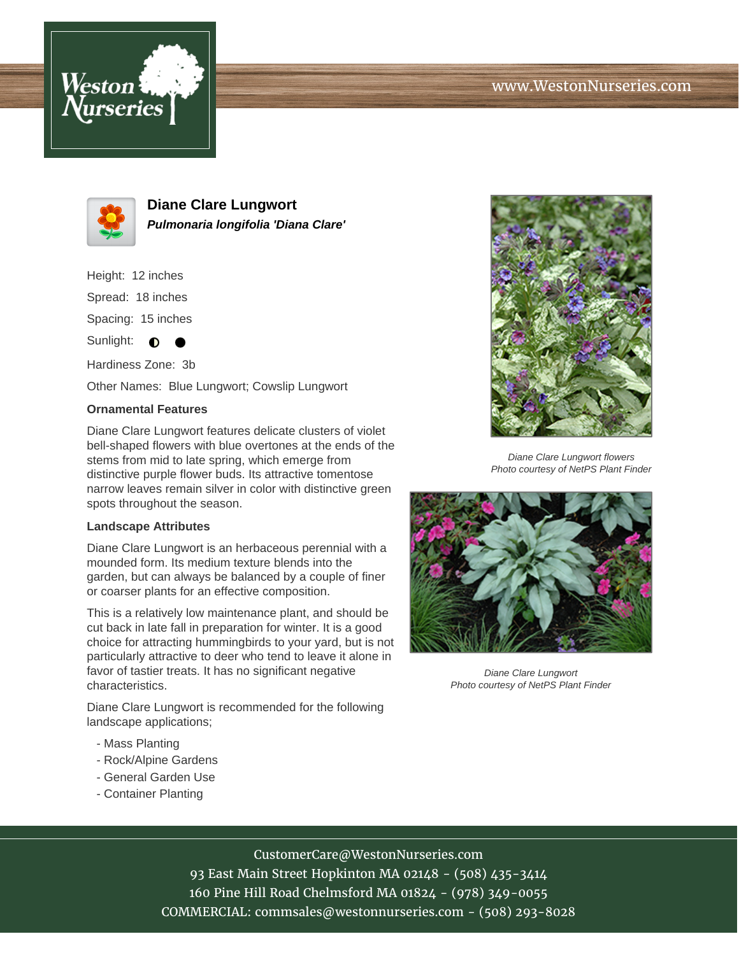



**Diane Clare Lungwort Pulmonaria longifolia 'Diana Clare'**

Height: 12 inches Spread: 18 inches Spacing: 15 inches

Sunlight:  $\bullet$ 

Hardiness Zone: 3b

Other Names: Blue Lungwort; Cowslip Lungwort

## **Ornamental Features**

Diane Clare Lungwort features delicate clusters of violet bell-shaped flowers with blue overtones at the ends of the stems from mid to late spring, which emerge from distinctive purple flower buds. Its attractive tomentose narrow leaves remain silver in color with distinctive green spots throughout the season.

## **Landscape Attributes**

Diane Clare Lungwort is an herbaceous perennial with a mounded form. Its medium texture blends into the garden, but can always be balanced by a couple of finer or coarser plants for an effective composition.

This is a relatively low maintenance plant, and should be cut back in late fall in preparation for winter. It is a good choice for attracting hummingbirds to your yard, but is not particularly attractive to deer who tend to leave it alone in favor of tastier treats. It has no significant negative characteristics.

Diane Clare Lungwort is recommended for the following landscape applications;

- Mass Planting
- Rock/Alpine Gardens
- General Garden Use
- Container Planting



Diane Clare Lungwort flowers Photo courtesy of NetPS Plant Finder



Diane Clare Lungwort Photo courtesy of NetPS Plant Finder

## CustomerCare@WestonNurseries.com

93 East Main Street Hopkinton MA 02148 - (508) 435-3414 160 Pine Hill Road Chelmsford MA 01824 - (978) 349-0055 COMMERCIAL: commsales@westonnurseries.com - (508) 293-8028